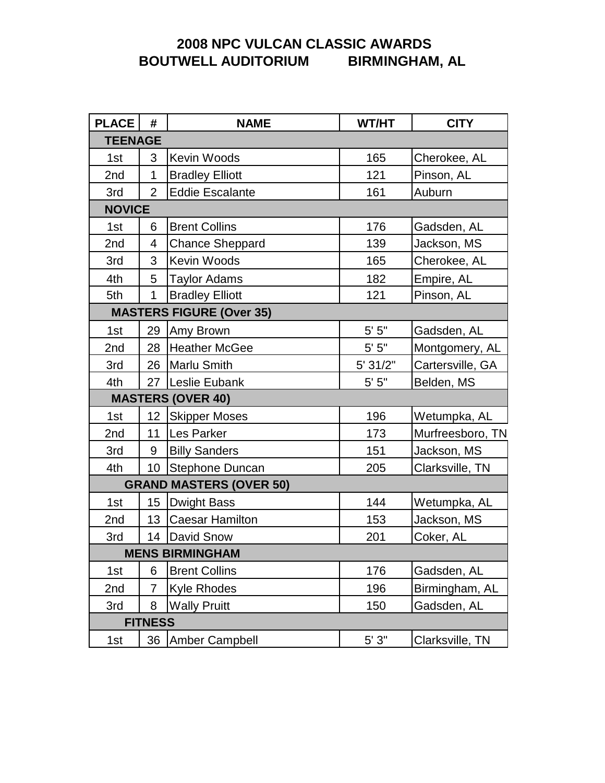## **2008 NPC VULCAN CLASSIC AWARDS BOUTWELL AUDITORIUM**

| <b>PLACE</b>           | #               | <b>NAME</b>                     | <b>WT/HT</b> | <b>CITY</b>      |  |
|------------------------|-----------------|---------------------------------|--------------|------------------|--|
| <b>TEENAGE</b>         |                 |                                 |              |                  |  |
| 1st                    | 3               | Kevin Woods                     | 165          | Cherokee, AL     |  |
| 2nd                    | 1               | <b>Bradley Elliott</b>          | 121          | Pinson, AL       |  |
| 3rd                    | $\overline{2}$  | <b>Eddie Escalante</b>          | 161          | Auburn           |  |
| <b>NOVICE</b>          |                 |                                 |              |                  |  |
| 1st                    | 6               | <b>Brent Collins</b>            | 176          | Gadsden, AL      |  |
| 2nd                    | 4               | <b>Chance Sheppard</b>          | 139          | Jackson, MS      |  |
| 3rd                    | 3               | Kevin Woods                     | 165          | Cherokee, AL     |  |
| 4th                    | 5               | <b>Taylor Adams</b>             | 182          | Empire, AL       |  |
| 5th                    | 1               | <b>Bradley Elliott</b>          | 121          | Pinson, AL       |  |
|                        |                 | <b>MASTERS FIGURE (Over 35)</b> |              |                  |  |
| 1st                    | 29              | Amy Brown                       | $5'$ $5"$    | Gadsden, AL      |  |
| 2nd                    | 28              | <b>Heather McGee</b>            | $5'$ $5"$    | Montgomery, AL   |  |
| 3rd                    | 26              | <b>Marlu Smith</b>              | 5'31/2"      | Cartersville, GA |  |
| 4th                    | 27              | Leslie Eubank                   | 5' 5''       | Belden, MS       |  |
|                        |                 | <b>MASTERS (OVER 40)</b>        |              |                  |  |
| 1st                    | 12 <sub>2</sub> | <b>Skipper Moses</b>            | 196          | Wetumpka, AL     |  |
| 2nd                    | 11              | <b>Les Parker</b>               | 173          | Murfreesboro, TN |  |
| 3rd                    | 9               | <b>Billy Sanders</b>            | 151          | Jackson, MS      |  |
| 4th                    | 10              | Stephone Duncan                 | 205          | Clarksville, TN  |  |
|                        |                 | <b>GRAND MASTERS (OVER 50)</b>  |              |                  |  |
| 1st                    | 15              | <b>Dwight Bass</b>              | 144          | Wetumpka, AL     |  |
| 2nd                    | 13              | <b>Caesar Hamilton</b>          | 153          | Jackson, MS      |  |
| 3rd                    | 14              | David Snow                      | 201          | Coker, AL        |  |
| <b>MENS BIRMINGHAM</b> |                 |                                 |              |                  |  |
| 1st                    | 6               | <b>Brent Collins</b>            | 176          | Gadsden, AL      |  |
| 2nd                    | 7               | <b>Kyle Rhodes</b>              | 196          | Birmingham, AL   |  |
| 3rd                    | 8               | <b>Wally Pruitt</b>             | 150          | Gadsden, AL      |  |
| <b>FITNESS</b>         |                 |                                 |              |                  |  |
| 1st                    | 36              | <b>Amber Campbell</b>           | 5'3''        | Clarksville, TN  |  |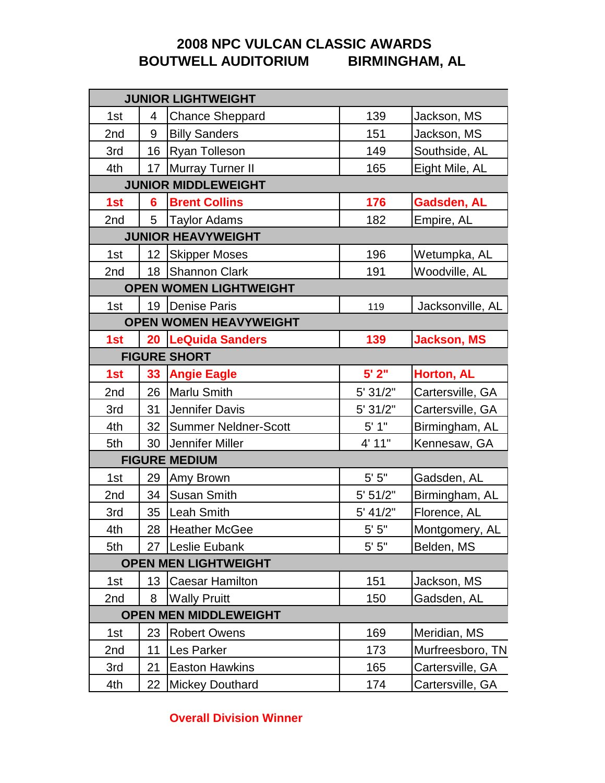## **2008 NPC VULCAN CLASSIC AWARDS BOUTWELL AUDITORIUM**

| <b>JUNIOR LIGHTWEIGHT</b>    |                 |                               |           |                    |  |
|------------------------------|-----------------|-------------------------------|-----------|--------------------|--|
| 1st                          | 4               | <b>Chance Sheppard</b>        | 139       | Jackson, MS        |  |
| 2nd                          | 9               | <b>Billy Sanders</b>          | 151       | Jackson, MS        |  |
| 3rd                          | 16              | <b>Ryan Tolleson</b>          | 149       | Southside, AL      |  |
| 4th                          | 17              | <b>Murray Turner II</b>       | 165       | Eight Mile, AL     |  |
|                              |                 | <b>JUNIOR MIDDLEWEIGHT</b>    |           |                    |  |
| 1st                          | 6               | <b>Brent Collins</b>          | 176       | Gadsden, AL        |  |
| 2nd                          | 5               | <b>Taylor Adams</b>           | 182       | Empire, AL         |  |
|                              |                 | <b>JUNIOR HEAVYWEIGHT</b>     |           |                    |  |
| 1st                          | 12 <sub>2</sub> | <b>Skipper Moses</b>          | 196       | Wetumpka, AL       |  |
| 2nd                          | 18              | <b>Shannon Clark</b>          | 191       | Woodville, AL      |  |
|                              |                 | <b>OPEN WOMEN LIGHTWEIGHT</b> |           |                    |  |
| 1st                          | 19              | Denise Paris                  | 119       | Jacksonville, AL   |  |
|                              |                 | <b>OPEN WOMEN HEAVYWEIGHT</b> |           |                    |  |
| 1st                          | 20              | <b>LeQuida Sanders</b>        | 139       | <b>Jackson, MS</b> |  |
|                              |                 | <b>FIGURE SHORT</b>           |           |                    |  |
| 1st                          | 33              | <b>Angie Eagle</b>            | 5'2"      | Horton, AL         |  |
| 2nd                          | 26              | <b>Marlu Smith</b>            | 5'31/2"   | Cartersville, GA   |  |
| 3rd                          | 31              | Jennifer Davis                | 5' 31/2"  | Cartersville, GA   |  |
| 4th                          | 32              | <b>Summer Neldner-Scott</b>   | 5'1"      | Birmingham, AL     |  |
| 5th                          | 30              | Jennifer Miller               | 4' 11"    | Kennesaw, GA       |  |
|                              |                 | <b>FIGURE MEDIUM</b>          |           |                    |  |
| 1st                          | 29              | Amy Brown                     | 5' 5''    | Gadsden, AL        |  |
| 2nd                          | 34              | <b>Susan Smith</b>            | 5' 51/2"  | Birmingham, AL     |  |
| 3rd                          | 35              | Leah Smith                    | 5' 41/2"  | Florence, AL       |  |
| 4th                          | 28              | <b>Heather McGee</b>          | $5'$ $5"$ | Montgomery, AL     |  |
| 5th                          | 27              | Leslie Eubank                 | $5'$ $5"$ | Belden, MS         |  |
|                              |                 | <b>OPEN MEN LIGHTWEIGHT</b>   |           |                    |  |
| 1st                          | 13              | <b>Caesar Hamilton</b>        | 151       | Jackson, MS        |  |
| 2nd                          | 8               | <b>Wally Pruitt</b>           | 150       | Gadsden, AL        |  |
| <b>OPEN MEN MIDDLEWEIGHT</b> |                 |                               |           |                    |  |
| 1st                          | 23              | <b>Robert Owens</b>           | 169       | Meridian, MS       |  |
| 2nd                          | 11              | Les Parker                    | 173       | Murfreesboro, TN   |  |
| 3rd                          | 21              | <b>Easton Hawkins</b>         | 165       | Cartersville, GA   |  |
| 4th                          | 22              | <b>Mickey Douthard</b>        | 174       | Cartersville, GA   |  |

**Overall Division Winner**